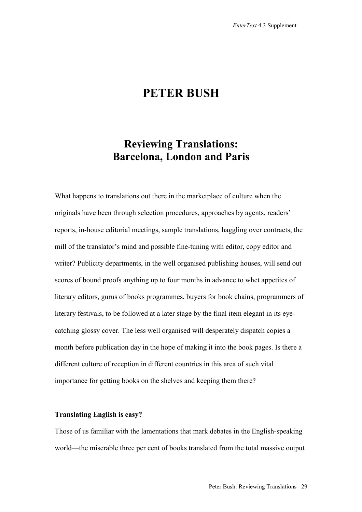# **PETER BUSH**

# **Reviewing Translations: Barcelona, London and Paris**

What happens to translations out there in the marketplace of culture when the originals have been through selection procedures, approaches by agents, readers' reports, in-house editorial meetings, sample translations, haggling over contracts, the mill of the translator's mind and possible fine-tuning with editor, copy editor and writer? Publicity departments, in the well organised publishing houses, will send out scores of bound proofs anything up to four months in advance to whet appetites of literary editors, gurus of books programmes, buyers for book chains, programmers of literary festivals, to be followed at a later stage by the final item elegant in its eyecatching glossy cover. The less well organised will desperately dispatch copies a month before publication day in the hope of making it into the book pages. Is there a different culture of reception in different countries in this area of such vital importance for getting books on the shelves and keeping them there?

## **Translating English is easy?**

Those of us familiar with the lamentations that mark debates in the English-speaking world—the miserable three per cent of books translated from the total massive output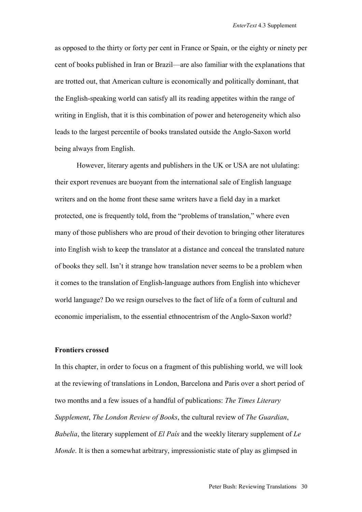as opposed to the thirty or forty per cent in France or Spain, or the eighty or ninety per cent of books published in Iran or Brazil—are also familiar with the explanations that are trotted out, that American culture is economically and politically dominant, that the English-speaking world can satisfy all its reading appetites within the range of writing in English, that it is this combination of power and heterogeneity which also leads to the largest percentile of books translated outside the Anglo-Saxon world being always from English.

However, literary agents and publishers in the UK or USA are not ululating: their export revenues are buoyant from the international sale of English language writers and on the home front these same writers have a field day in a market protected, one is frequently told, from the "problems of translation," where even many of those publishers who are proud of their devotion to bringing other literatures into English wish to keep the translator at a distance and conceal the translated nature of books they sell. Isn't it strange how translation never seems to be a problem when it comes to the translation of English-language authors from English into whichever world language? Do we resign ourselves to the fact of life of a form of cultural and economic imperialism, to the essential ethnocentrism of the Anglo-Saxon world?

## **Frontiers crossed**

In this chapter, in order to focus on a fragment of this publishing world, we will look at the reviewing of translations in London, Barcelona and Paris over a short period of two months and a few issues of a handful of publications: *The Times Literary Supplement*, *The London Review of Books*, the cultural review of *The Guardian*, *Babelia*, the literary supplement of *El País* and the weekly literary supplement of *Le Monde*. It is then a somewhat arbitrary, impressionistic state of play as glimpsed in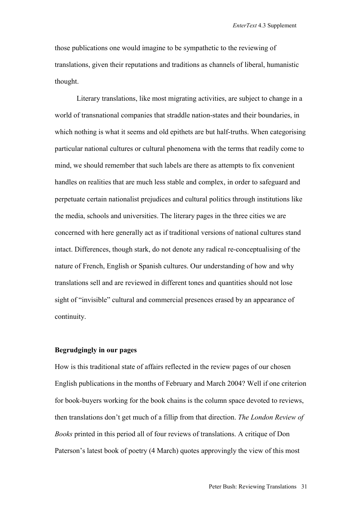those publications one would imagine to be sympathetic to the reviewing of translations, given their reputations and traditions as channels of liberal, humanistic thought.

Literary translations, like most migrating activities, are subject to change in a world of transnational companies that straddle nation-states and their boundaries, in which nothing is what it seems and old epithets are but half-truths. When categorising particular national cultures or cultural phenomena with the terms that readily come to mind, we should remember that such labels are there as attempts to fix convenient handles on realities that are much less stable and complex, in order to safeguard and perpetuate certain nationalist prejudices and cultural politics through institutions like the media, schools and universities. The literary pages in the three cities we are concerned with here generally act as if traditional versions of national cultures stand intact. Differences, though stark, do not denote any radical re-conceptualising of the nature of French, English or Spanish cultures. Our understanding of how and why translations sell and are reviewed in different tones and quantities should not lose sight of "invisible" cultural and commercial presences erased by an appearance of continuity.

# **Begrudgingly in our pages**

How is this traditional state of affairs reflected in the review pages of our chosen English publications in the months of February and March 2004? Well if one criterion for book-buyers working for the book chains is the column space devoted to reviews, then translations don't get much of a fillip from that direction. *The London Review of Books* printed in this period all of four reviews of translations. A critique of Don Paterson's latest book of poetry (4 March) quotes approvingly the view of this most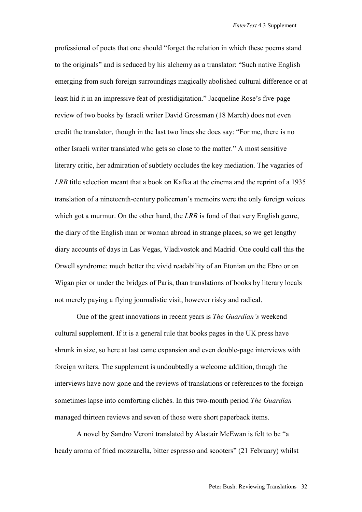professional of poets that one should "forget the relation in which these poems stand to the originals" and is seduced by his alchemy as a translator: "Such native English emerging from such foreign surroundings magically abolished cultural difference or at least hid it in an impressive feat of prestidigitation." Jacqueline Rose's five-page review of two books by Israeli writer David Grossman (18 March) does not even credit the translator, though in the last two lines she does say: "For me, there is no other Israeli writer translated who gets so close to the matter." A most sensitive literary critic, her admiration of subtlety occludes the key mediation. The vagaries of *LRB* title selection meant that a book on Kafka at the cinema and the reprint of a 1935 translation of a nineteenth-century policeman's memoirs were the only foreign voices which got a murmur. On the other hand, the *LRB* is fond of that very English genre, the diary of the English man or woman abroad in strange places, so we get lengthy diary accounts of days in Las Vegas, Vladivostok and Madrid. One could call this the Orwell syndrome: much better the vivid readability of an Etonian on the Ebro or on Wigan pier or under the bridges of Paris, than translations of books by literary locals not merely paying a flying journalistic visit, however risky and radical.

One of the great innovations in recent years is *The Guardian's* weekend cultural supplement. If it is a general rule that books pages in the UK press have shrunk in size, so here at last came expansion and even double-page interviews with foreign writers. The supplement is undoubtedly a welcome addition, though the interviews have now gone and the reviews of translations or references to the foreign sometimes lapse into comforting clichés. In this two-month period *The Guardian* managed thirteen reviews and seven of those were short paperback items.

A novel by Sandro Veroni translated by Alastair McEwan is felt to be "a heady aroma of fried mozzarella, bitter espresso and scooters" (21 February) whilst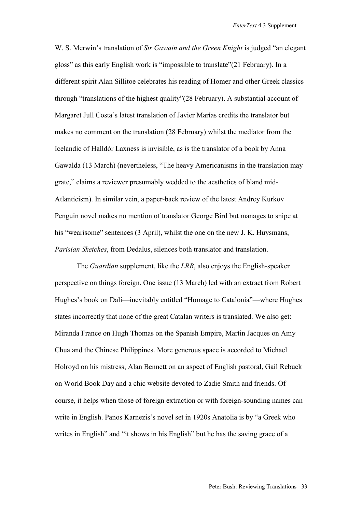W. S. Merwin's translation of *Sir Gawain and the Green Knight* is judged "an elegant gloss" as this early English work is "impossible to translate"(21 February). In a different spirit Alan Sillitoe celebrates his reading of Homer and other Greek classics through "translations of the highest quality"(28 February). A substantial account of Margaret Jull Costa's latest translation of Javier Marías credits the translator but makes no comment on the translation (28 February) whilst the mediator from the Icelandic of Halldór Laxness is invisible, as is the translator of a book by Anna Gawalda (13 March) (nevertheless, "The heavy Americanisms in the translation may grate," claims a reviewer presumably wedded to the aesthetics of bland mid-Atlanticism). In similar vein, a paper-back review of the latest Andrey Kurkov Penguin novel makes no mention of translator George Bird but manages to snipe at his "wearisome" sentences (3 April), whilst the one on the new J. K. Huysmans, *Parisian Sketches*, from Dedalus, silences both translator and translation.

The *Guardian* supplement, like the *LRB*, also enjoys the English-speaker perspective on things foreign. One issue (13 March) led with an extract from Robert Hughes's book on Dalí—inevitably entitled "Homage to Catalonia"—where Hughes states incorrectly that none of the great Catalan writers is translated. We also get: Miranda France on Hugh Thomas on the Spanish Empire, Martin Jacques on Amy Chua and the Chinese Philippines. More generous space is accorded to Michael Holroyd on his mistress, Alan Bennett on an aspect of English pastoral, Gail Rebuck on World Book Day and a chic website devoted to Zadie Smith and friends. Of course, it helps when those of foreign extraction or with foreign-sounding names can write in English. Panos Karnezis's novel set in 1920s Anatolia is by "a Greek who writes in English" and "it shows in his English" but he has the saving grace of a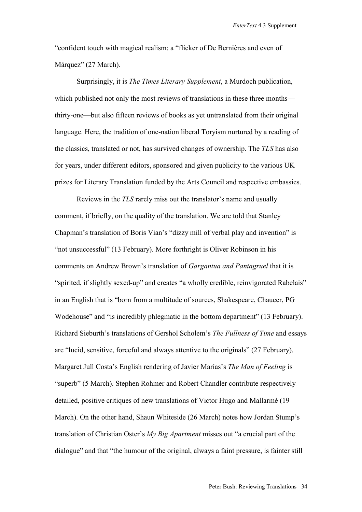"confident touch with magical realism: a "flicker of De Bernières and even of Márquez" (27 March).

Surprisingly, it is *The Times Literary Supplement*, a Murdoch publication, which published not only the most reviews of translations in these three months thirty-one—but also fifteen reviews of books as yet untranslated from their original language. Here, the tradition of one-nation liberal Toryism nurtured by a reading of the classics, translated or not, has survived changes of ownership. The *TLS* has also for years, under different editors, sponsored and given publicity to the various UK prizes for Literary Translation funded by the Arts Council and respective embassies.

Reviews in the *TLS* rarely miss out the translator's name and usually comment, if briefly, on the quality of the translation. We are told that Stanley Chapman's translation of Boris Vian's "dizzy mill of verbal play and invention" is "not unsuccessful" (13 February). More forthright is Oliver Robinson in his comments on Andrew Brown's translation of *Gargantua and Pantagruel* that it is "spirited, if slightly sexed-up" and creates "a wholly credible, reinvigorated Rabelais" in an English that is "born from a multitude of sources, Shakespeare, Chaucer, PG Wodehouse" and "is incredibly phlegmatic in the bottom department" (13 February). Richard Sieburth's translations of Gershol Scholem's *The Fullness of Time* and essays are "lucid, sensitive, forceful and always attentive to the originals" (27 February). Margaret Jull Costa's English rendering of Javier Marías's *The Man of Feeling* is "superb" (5 March). Stephen Rohmer and Robert Chandler contribute respectively detailed, positive critiques of new translations of Victor Hugo and Mallarmé (19 March). On the other hand, Shaun Whiteside (26 March) notes how Jordan Stump's translation of Christian Oster's *My Big Apartment* misses out "a crucial part of the dialogue" and that "the humour of the original, always a faint pressure, is fainter still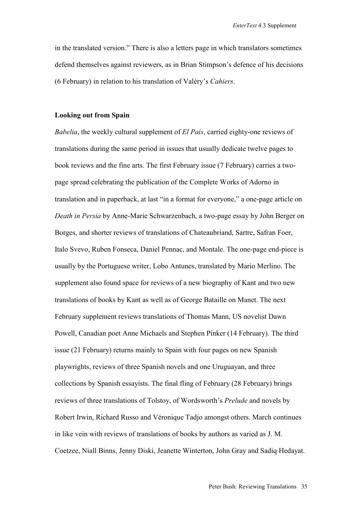in the translated version." There is also a letters page in which translators sometimes defend themselves against reviewers, as in Brian Stimpson's defence of his decisions (6 February) in relation to his translation of Valéry's *Cahiers*.

### **Looking out from Spain**

*Babelia*, the weekly cultural supplement of *El País*, carried eighty-one reviews of translations during the same period in issues that usually dedicate twelve pages to book reviews and the fine arts. The first February issue (7 February) carries a twopage spread celebrating the publication of the Complete Works of Adorno in translation and in paperback, at last "in a format for everyone," a one-page article on *Death in Persia* by Anne-Marie Schwarzenbach, a two-page essay by John Berger on Borges, and shorter reviews of translations of Chateaubriand, Sartre, Safran Foer, Italo Svevo, Ruben Fonseca, Daniel Pennac, and Montale. The one-page end-piece is usually by the Portuguese writer, Lobo Antunes, translated by Mario Merlino. The supplement also found space for reviews of a new biography of Kant and two new translations of books by Kant as well as of George Bataille on Manet. The next February supplement reviews translations of Thomas Mann, US novelist Dawn Powell, Canadian poet Anne Michaels and Stephen Pinker (14 February). The third issue (21 February) returns mainly to Spain with four pages on new Spanish playwrights, reviews of three Spanish novels and one Uruguayan, and three collections by Spanish essayists. The final fling of February (28 February) brings reviews of three translations of Tolstoy, of Wordsworth's *Prelude* and novels by Robert Irwin, Richard Russo and Véronique Tadjo amongst others. March continues in like vein with reviews of translations of books by authors as varied as J. M. Coetzee, Niall Binns, Jenny Diski, Jeanette Winterton, John Gray and Sadiq Hedayat.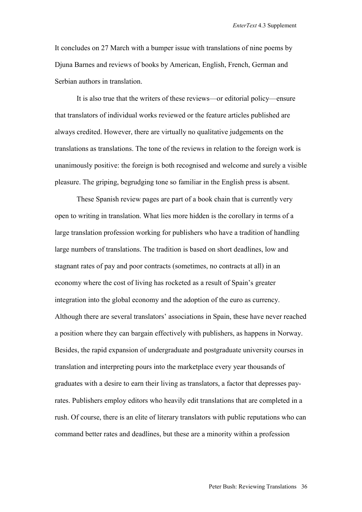It concludes on 27 March with a bumper issue with translations of nine poems by Djuna Barnes and reviews of books by American, English, French, German and Serbian authors in translation.

It is also true that the writers of these reviews—or editorial policy—ensure that translators of individual works reviewed or the feature articles published are always credited. However, there are virtually no qualitative judgements on the translations as translations. The tone of the reviews in relation to the foreign work is unanimously positive: the foreign is both recognised and welcome and surely a visible pleasure. The griping, begrudging tone so familiar in the English press is absent.

These Spanish review pages are part of a book chain that is currently very open to writing in translation. What lies more hidden is the corollary in terms of a large translation profession working for publishers who have a tradition of handling large numbers of translations. The tradition is based on short deadlines, low and stagnant rates of pay and poor contracts (sometimes, no contracts at all) in an economy where the cost of living has rocketed as a result of Spain's greater integration into the global economy and the adoption of the euro as currency. Although there are several translators' associations in Spain, these have never reached a position where they can bargain effectively with publishers, as happens in Norway. Besides, the rapid expansion of undergraduate and postgraduate university courses in translation and interpreting pours into the marketplace every year thousands of graduates with a desire to earn their living as translators, a factor that depresses payrates. Publishers employ editors who heavily edit translations that are completed in a rush. Of course, there is an elite of literary translators with public reputations who can command better rates and deadlines, but these are a minority within a profession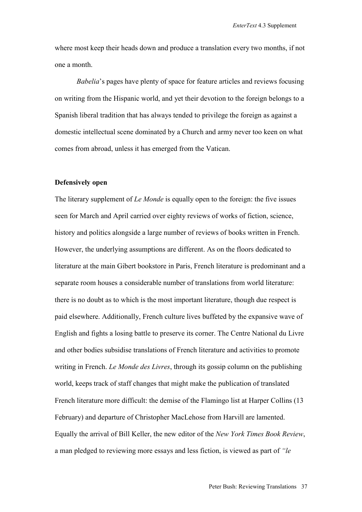where most keep their heads down and produce a translation every two months, if not one a month.

*Babelia*'s pages have plenty of space for feature articles and reviews focusing on writing from the Hispanic world, and yet their devotion to the foreign belongs to a Spanish liberal tradition that has always tended to privilege the foreign as against a domestic intellectual scene dominated by a Church and army never too keen on what comes from abroad, unless it has emerged from the Vatican.

## **Defensively open**

The literary supplement of *Le Monde* is equally open to the foreign: the five issues seen for March and April carried over eighty reviews of works of fiction, science, history and politics alongside a large number of reviews of books written in French. However, the underlying assumptions are different. As on the floors dedicated to literature at the main Gibert bookstore in Paris, French literature is predominant and a separate room houses a considerable number of translations from world literature: there is no doubt as to which is the most important literature, though due respect is paid elsewhere. Additionally, French culture lives buffeted by the expansive wave of English and fights a losing battle to preserve its corner. The Centre National du Livre and other bodies subsidise translations of French literature and activities to promote writing in French. *Le Monde des Livres*, through its gossip column on the publishing world, keeps track of staff changes that might make the publication of translated French literature more difficult: the demise of the Flamingo list at Harper Collins (13 February) and departure of Christopher MacLehose from Harvill are lamented. Equally the arrival of Bill Keller, the new editor of the *New York Times Book Review*, a man pledged to reviewing more essays and less fiction, is viewed as part of *"le*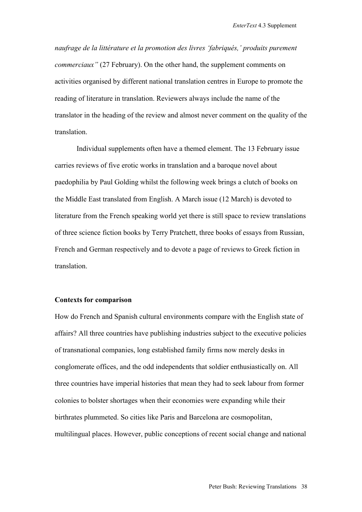*naufrage de la littérature et la promotion des livres 'fabriqués,' produits purement commerciaux"* (27 February). On the other hand, the supplement comments on activities organised by different national translation centres in Europe to promote the reading of literature in translation. Reviewers always include the name of the translator in the heading of the review and almost never comment on the quality of the translation.

Individual supplements often have a themed element. The 13 February issue carries reviews of five erotic works in translation and a baroque novel about paedophilia by Paul Golding whilst the following week brings a clutch of books on the Middle East translated from English. A March issue (12 March) is devoted to literature from the French speaking world yet there is still space to review translations of three science fiction books by Terry Pratchett, three books of essays from Russian, French and German respectively and to devote a page of reviews to Greek fiction in translation.

#### **Contexts for comparison**

How do French and Spanish cultural environments compare with the English state of affairs? All three countries have publishing industries subject to the executive policies of transnational companies, long established family firms now merely desks in conglomerate offices, and the odd independents that soldier enthusiastically on. All three countries have imperial histories that mean they had to seek labour from former colonies to bolster shortages when their economies were expanding while their birthrates plummeted. So cities like Paris and Barcelona are cosmopolitan, multilingual places. However, public conceptions of recent social change and national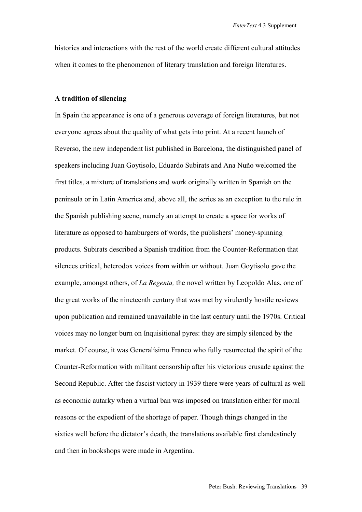histories and interactions with the rest of the world create different cultural attitudes when it comes to the phenomenon of literary translation and foreign literatures.

## **A tradition of silencing**

In Spain the appearance is one of a generous coverage of foreign literatures, but not everyone agrees about the quality of what gets into print. At a recent launch of Reverso, the new independent list published in Barcelona, the distinguished panel of speakers including Juan Goytisolo, Eduardo Subirats and Ana Nuño welcomed the first titles, a mixture of translations and work originally written in Spanish on the peninsula or in Latin America and, above all, the series as an exception to the rule in the Spanish publishing scene, namely an attempt to create a space for works of literature as opposed to hamburgers of words, the publishers' money-spinning products. Subirats described a Spanish tradition from the Counter-Reformation that silences critical, heterodox voices from within or without. Juan Goytisolo gave the example, amongst others, of *La Regenta,* the novel written by Leopoldo Alas, one of the great works of the nineteenth century that was met by virulently hostile reviews upon publication and remained unavailable in the last century until the 1970s. Critical voices may no longer burn on Inquisitional pyres: they are simply silenced by the market. Of course, it was Generalísimo Franco who fully resurrected the spirit of the Counter-Reformation with militant censorship after his victorious crusade against the Second Republic. After the fascist victory in 1939 there were years of cultural as well as economic autarky when a virtual ban was imposed on translation either for moral reasons or the expedient of the shortage of paper. Though things changed in the sixties well before the dictator's death, the translations available first clandestinely and then in bookshops were made in Argentina.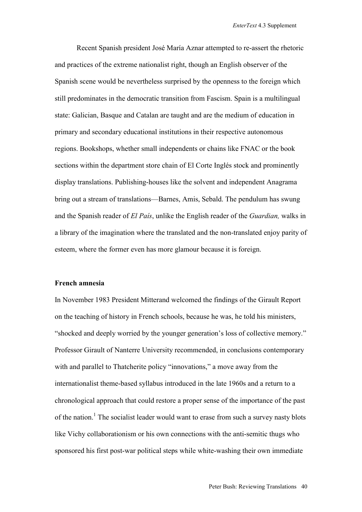Recent Spanish president José María Aznar attempted to re-assert the rhetoric and practices of the extreme nationalist right, though an English observer of the Spanish scene would be nevertheless surprised by the openness to the foreign which still predominates in the democratic transition from Fascism. Spain is a multilingual state: Galician, Basque and Catalan are taught and are the medium of education in primary and secondary educational institutions in their respective autonomous regions. Bookshops, whether small independents or chains like FNAC or the book sections within the department store chain of El Corte Inglés stock and prominently display translations. Publishing-houses like the solvent and independent Anagrama bring out a stream of translations—Barnes, Amis, Sebald. The pendulum has swung and the Spanish reader of *El País*, unlike the English reader of the *Guardian,* walks in a library of the imagination where the translated and the non-translated enjoy parity of esteem, where the former even has more glamour because it is foreign.

### **French amnesia**

In November 1983 President Mitterand welcomed the findings of the Girault Report on the teaching of history in French schools, because he was, he told his ministers, "shocked and deeply worried by the younger generation's loss of collective memory." Professor Girault of Nanterre University recommended, in conclusions contemporary with and parallel to Thatcherite policy "innovations," a move away from the internationalist theme-based syllabus introduced in the late 1960s and a return to a chronological approach that could restore a proper sense of the importance of the past of the nation.<sup>1</sup> The socialist leader would want to erase from such a survey nasty blots like Vichy collaborationism or his own connections with the anti-semitic thugs who sponsored his first post-war political steps while white-washing their own immediate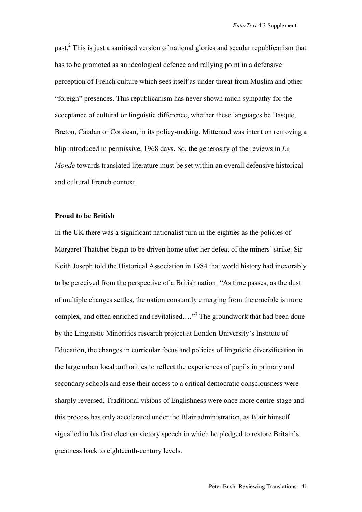past.<sup>2</sup> This is just a sanitised version of national glories and secular republicanism that has to be promoted as an ideological defence and rallying point in a defensive perception of French culture which sees itself as under threat from Muslim and other "foreign" presences. This republicanism has never shown much sympathy for the acceptance of cultural or linguistic difference, whether these languages be Basque, Breton, Catalan or Corsican, in its policy-making. Mitterand was intent on removing a blip introduced in permissive, 1968 days. So, the generosity of the reviews in *Le Monde* towards translated literature must be set within an overall defensive historical and cultural French context.

# **Proud to be British**

In the UK there was a significant nationalist turn in the eighties as the policies of Margaret Thatcher began to be driven home after her defeat of the miners' strike. Sir Keith Joseph told the Historical Association in 1984 that world history had inexorably to be perceived from the perspective of a British nation: "As time passes, as the dust of multiple changes settles, the nation constantly emerging from the crucible is more complex, and often enriched and revitalised...."<sup>3</sup> The groundwork that had been done by the Linguistic Minorities research project at London University's Institute of Education, the changes in curricular focus and policies of linguistic diversification in the large urban local authorities to reflect the experiences of pupils in primary and secondary schools and ease their access to a critical democratic consciousness were sharply reversed. Traditional visions of Englishness were once more centre-stage and this process has only accelerated under the Blair administration, as Blair himself signalled in his first election victory speech in which he pledged to restore Britain's greatness back to eighteenth-century levels.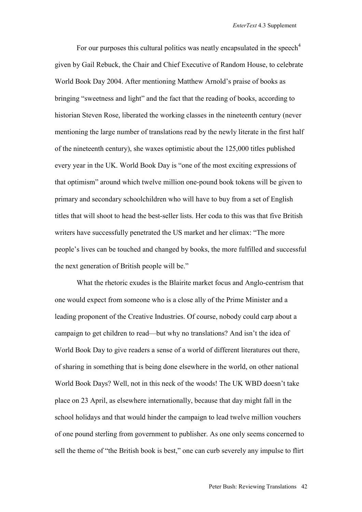For our purposes this cultural politics was neatly encapsulated in the speech<sup>4</sup> given by Gail Rebuck, the Chair and Chief Executive of Random House, to celebrate World Book Day 2004. After mentioning Matthew Arnold's praise of books as bringing "sweetness and light" and the fact that the reading of books, according to historian Steven Rose, liberated the working classes in the nineteenth century (never mentioning the large number of translations read by the newly literate in the first half of the nineteenth century), she waxes optimistic about the 125,000 titles published every year in the UK. World Book Day is "one of the most exciting expressions of that optimism" around which twelve million one-pound book tokens will be given to primary and secondary schoolchildren who will have to buy from a set of English titles that will shoot to head the best-seller lists. Her coda to this was that five British writers have successfully penetrated the US market and her climax: "The more people's lives can be touched and changed by books, the more fulfilled and successful the next generation of British people will be."

What the rhetoric exudes is the Blairite market focus and Anglo-centrism that one would expect from someone who is a close ally of the Prime Minister and a leading proponent of the Creative Industries. Of course, nobody could carp about a campaign to get children to read—but why no translations? And isn't the idea of World Book Day to give readers a sense of a world of different literatures out there, of sharing in something that is being done elsewhere in the world, on other national World Book Days? Well, not in this neck of the woods! The UK WBD doesn't take place on 23 April, as elsewhere internationally, because that day might fall in the school holidays and that would hinder the campaign to lead twelve million vouchers of one pound sterling from government to publisher. As one only seems concerned to sell the theme of "the British book is best," one can curb severely any impulse to flirt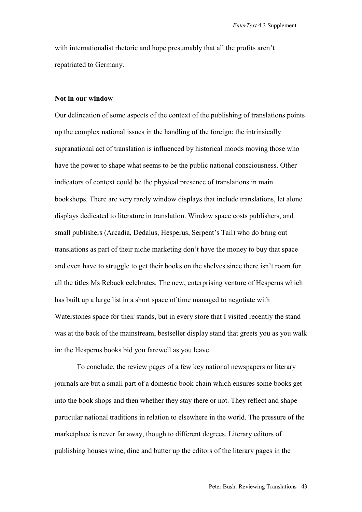with internationalist rhetoric and hope presumably that all the profits aren't repatriated to Germany.

## **Not in our window**

Our delineation of some aspects of the context of the publishing of translations points up the complex national issues in the handling of the foreign: the intrinsically supranational act of translation is influenced by historical moods moving those who have the power to shape what seems to be the public national consciousness. Other indicators of context could be the physical presence of translations in main bookshops. There are very rarely window displays that include translations, let alone displays dedicated to literature in translation. Window space costs publishers, and small publishers (Arcadia, Dedalus, Hesperus, Serpent's Tail) who do bring out translations as part of their niche marketing don't have the money to buy that space and even have to struggle to get their books on the shelves since there isn't room for all the titles Ms Rebuck celebrates. The new, enterprising venture of Hesperus which has built up a large list in a short space of time managed to negotiate with Waterstones space for their stands, but in every store that I visited recently the stand was at the back of the mainstream, bestseller display stand that greets you as you walk in: the Hesperus books bid you farewell as you leave.

To conclude, the review pages of a few key national newspapers or literary journals are but a small part of a domestic book chain which ensures some books get into the book shops and then whether they stay there or not. They reflect and shape particular national traditions in relation to elsewhere in the world. The pressure of the marketplace is never far away, though to different degrees. Literary editors of publishing houses wine, dine and butter up the editors of the literary pages in the